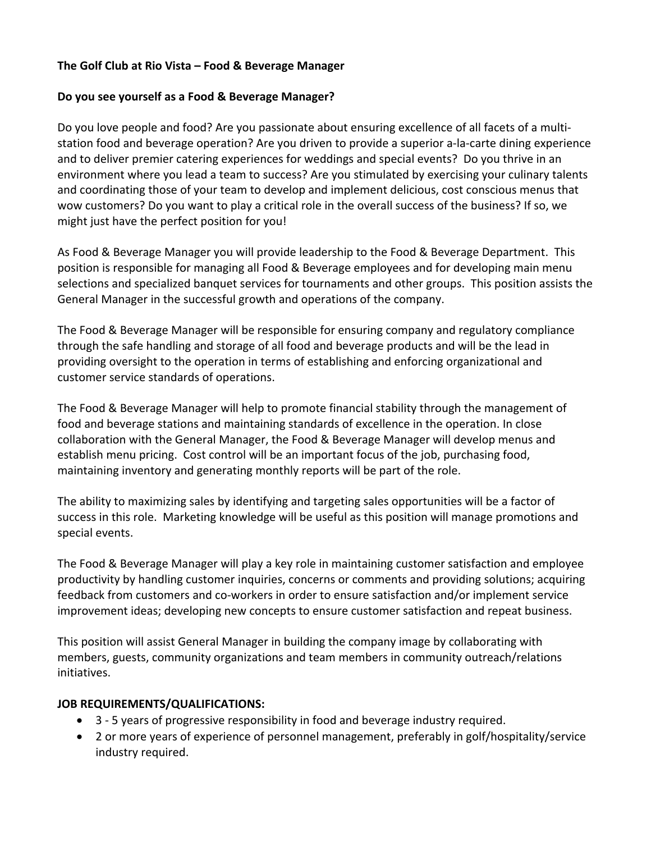## **The Golf Club at Rio Vista – Food & Beverage Manager**

## **Do you see yourself as a Food & Beverage Manager?**

Do you love people and food? Are you passionate about ensuring excellence of all facets of a multistation food and beverage operation? Are you driven to provide a superior a-la-carte dining experience and to deliver premier catering experiences for weddings and special events? Do you thrive in an environment where you lead a team to success? Are you stimulated by exercising your culinary talents and coordinating those of your team to develop and implement delicious, cost conscious menus that wow customers? Do you want to play a critical role in the overall success of the business? If so, we might just have the perfect position for you!

As Food & Beverage Manager you will provide leadership to the Food & Beverage Department. This position is responsible for managing all Food & Beverage employees and for developing main menu selections and specialized banquet services for tournaments and other groups. This position assists the General Manager in the successful growth and operations of the company.

The Food & Beverage Manager will be responsible for ensuring company and regulatory compliance through the safe handling and storage of all food and beverage products and will be the lead in providing oversight to the operation in terms of establishing and enforcing organizational and customer service standards of operations.

The Food & Beverage Manager will help to promote financial stability through the management of food and beverage stations and maintaining standards of excellence in the operation. In close collaboration with the General Manager, the Food & Beverage Manager will develop menus and establish menu pricing. Cost control will be an important focus of the job, purchasing food, maintaining inventory and generating monthly reports will be part of the role.

The ability to maximizing sales by identifying and targeting sales opportunities will be a factor of success in this role. Marketing knowledge will be useful as this position will manage promotions and special events.

The Food & Beverage Manager will play a key role in maintaining customer satisfaction and employee productivity by handling customer inquiries, concerns or comments and providing solutions; acquiring feedback from customers and co-workers in order to ensure satisfaction and/or implement service improvement ideas; developing new concepts to ensure customer satisfaction and repeat business.

This position will assist General Manager in building the company image by collaborating with members, guests, community organizations and team members in community outreach/relations initiatives.

## **JOB REQUIREMENTS/QUALIFICATIONS:**

- 3 5 years of progressive responsibility in food and beverage industry required.
- 2 or more years of experience of personnel management, preferably in golf/hospitality/service industry required.